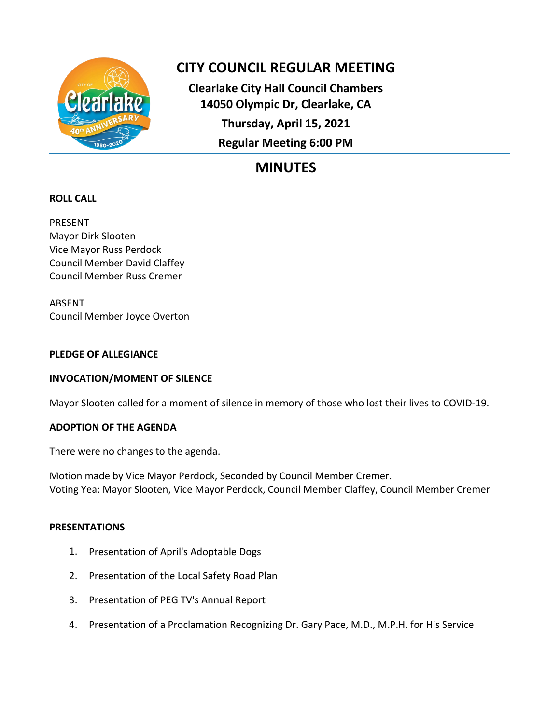

# **CITY COUNCIL REGULAR MEETING**

**Clearlake City Hall Council Chambers 14050 Olympic Dr, Clearlake, CA Thursday, April 15, 2021 Regular Meeting 6:00 PM**

# **MINUTES**

# **ROLL CALL**

PRESENT Mayor Dirk Slooten Vice Mayor Russ Perdock Council Member David Claffey Council Member Russ Cremer

ABSENT Council Member Joyce Overton

## **PLEDGE OF ALLEGIANCE**

# **INVOCATION/MOMENT OF SILENCE**

Mayor Slooten called for a moment of silence in memory of those who lost their lives to COVID-19.

# **ADOPTION OF THE AGENDA**

There were no changes to the agenda.

Motion made by Vice Mayor Perdock, Seconded by Council Member Cremer. Voting Yea: Mayor Slooten, Vice Mayor Perdock, Council Member Claffey, Council Member Cremer

## **PRESENTATIONS**

- 1. Presentation of April's Adoptable Dogs
- 2. Presentation of the Local Safety Road Plan
- 3. Presentation of PEG TV's Annual Report
- 4. Presentation of a Proclamation Recognizing Dr. Gary Pace, M.D., M.P.H. for His Service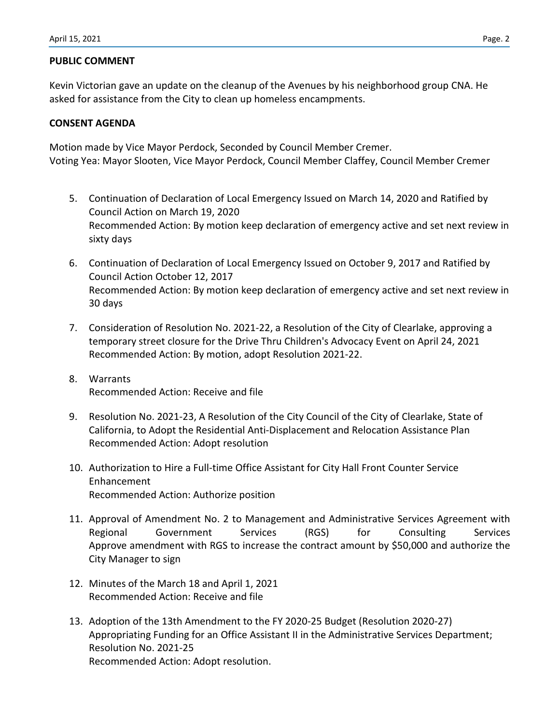### **PUBLIC COMMENT**

Kevin Victorian gave an update on the cleanup of the Avenues by his neighborhood group CNA. He asked for assistance from the City to clean up homeless encampments.

### **CONSENT AGENDA**

Motion made by Vice Mayor Perdock, Seconded by Council Member Cremer. Voting Yea: Mayor Slooten, Vice Mayor Perdock, Council Member Claffey, Council Member Cremer

- 5. Continuation of Declaration of Local Emergency Issued on March 14, 2020 and Ratified by Council Action on March 19, 2020 Recommended Action: By motion keep declaration of emergency active and set next review in sixty days
- 6. Continuation of Declaration of Local Emergency Issued on October 9, 2017 and Ratified by Council Action October 12, 2017 Recommended Action: By motion keep declaration of emergency active and set next review in 30 days
- 7. Consideration of Resolution No. 2021-22, a Resolution of the City of Clearlake, approving a temporary street closure for the Drive Thru Children's Advocacy Event on April 24, 2021 Recommended Action: By motion, adopt Resolution 2021-22.
- 8. Warrants Recommended Action: Receive and file
- 9. Resolution No. 2021-23, A Resolution of the City Council of the City of Clearlake, State of California, to Adopt the Residential Anti-Displacement and Relocation Assistance Plan Recommended Action: Adopt resolution
- 10. Authorization to Hire a Full-time Office Assistant for City Hall Front Counter Service Enhancement Recommended Action: Authorize position
- 11. Approval of Amendment No. 2 to Management and Administrative Services Agreement with Regional Government Services (RGS) for Consulting Services Approve amendment with RGS to increase the contract amount by \$50,000 and authorize the City Manager to sign
- 12. Minutes of the March 18 and April 1, 2021 Recommended Action: Receive and file
- 13. Adoption of the 13th Amendment to the FY 2020-25 Budget (Resolution 2020-27) Appropriating Funding for an Office Assistant II in the Administrative Services Department; Resolution No. 2021-25 Recommended Action: Adopt resolution.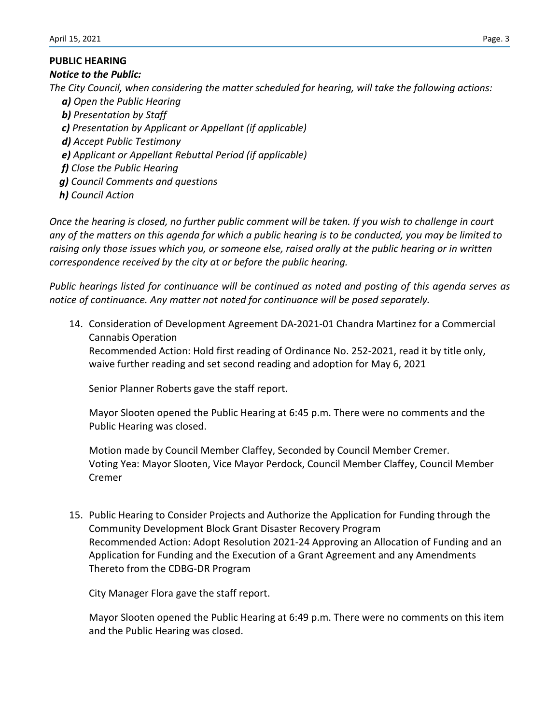## **PUBLIC HEARING**

#### *Notice to the Public:*

*The City Council, when considering the matter scheduled for hearing, will take the following actions:*

- *a) Open the Public Hearing*
- *b) Presentation by Staff*
- *c) Presentation by Applicant or Appellant (if applicable)*
- *d) Accept Public Testimony*
- *e) Applicant or Appellant Rebuttal Period (if applicable)*
- *f) Close the Public Hearing*
- *g) Council Comments and questions*
- *h) Council Action*

*Once the hearing is closed, no further public comment will be taken. If you wish to challenge in court any of the matters on this agenda for which a public hearing is to be conducted, you may be limited to raising only those issues which you, or someone else, raised orally at the public hearing or in written correspondence received by the city at or before the public hearing.*

*Public hearings listed for continuance will be continued as noted and posting of this agenda serves as notice of continuance. Any matter not noted for continuance will be posed separately.*

14. Consideration of Development Agreement DA-2021-01 Chandra Martinez for a Commercial Cannabis Operation Recommended Action: Hold first reading of Ordinance No. 252-2021, read it by title only,

waive further reading and set second reading and adoption for May 6, 2021

Senior Planner Roberts gave the staff report.

Mayor Slooten opened the Public Hearing at 6:45 p.m. There were no comments and the Public Hearing was closed.

Motion made by Council Member Claffey, Seconded by Council Member Cremer. Voting Yea: Mayor Slooten, Vice Mayor Perdock, Council Member Claffey, Council Member Cremer

15. Public Hearing to Consider Projects and Authorize the Application for Funding through the Community Development Block Grant Disaster Recovery Program Recommended Action: Adopt Resolution 2021-24 Approving an Allocation of Funding and an Application for Funding and the Execution of a Grant Agreement and any Amendments Thereto from the CDBG-DR Program

City Manager Flora gave the staff report.

Mayor Slooten opened the Public Hearing at 6:49 p.m. There were no comments on this item and the Public Hearing was closed.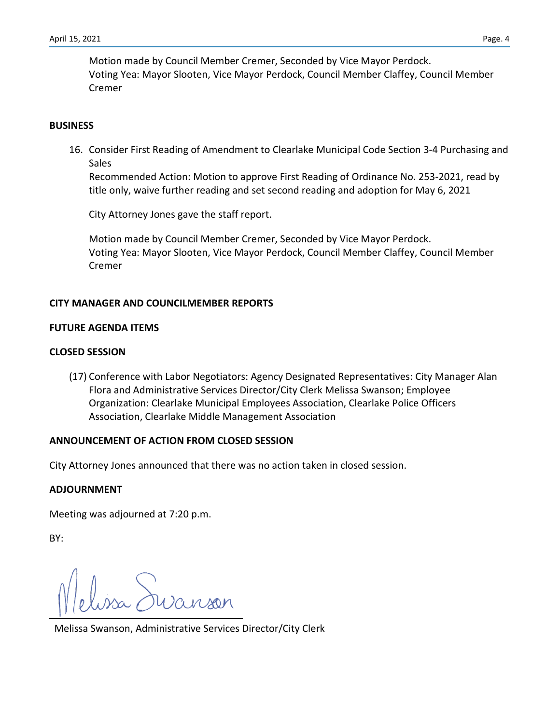Motion made by Council Member Cremer, Seconded by Vice Mayor Perdock. Voting Yea: Mayor Slooten, Vice Mayor Perdock, Council Member Claffey, Council Member Cremer

#### **BUSINESS**

16. Consider First Reading of Amendment to Clearlake Municipal Code Section 3-4 Purchasing and Sales

Recommended Action: Motion to approve First Reading of Ordinance No. 253-2021, read by title only, waive further reading and set second reading and adoption for May 6, 2021

City Attorney Jones gave the staff report.

Motion made by Council Member Cremer, Seconded by Vice Mayor Perdock. Voting Yea: Mayor Slooten, Vice Mayor Perdock, Council Member Claffey, Council Member Cremer

#### **CITY MANAGER AND COUNCILMEMBER REPORTS**

#### **FUTURE AGENDA ITEMS**

#### **CLOSED SESSION**

(17) Conference with Labor Negotiators: Agency Designated Representatives: City Manager Alan Flora and Administrative Services Director/City Clerk Melissa Swanson; Employee Organization: Clearlake Municipal Employees Association, Clearlake Police Officers Association, Clearlake Middle Management Association

#### **ANNOUNCEMENT OF ACTION FROM CLOSED SESSION**

City Attorney Jones announced that there was no action taken in closed session.

#### **ADJOURNMENT**

Meeting was adjourned at 7:20 p.m.

BY:

Melissa Swanson, Administrative Services Director/City Clerk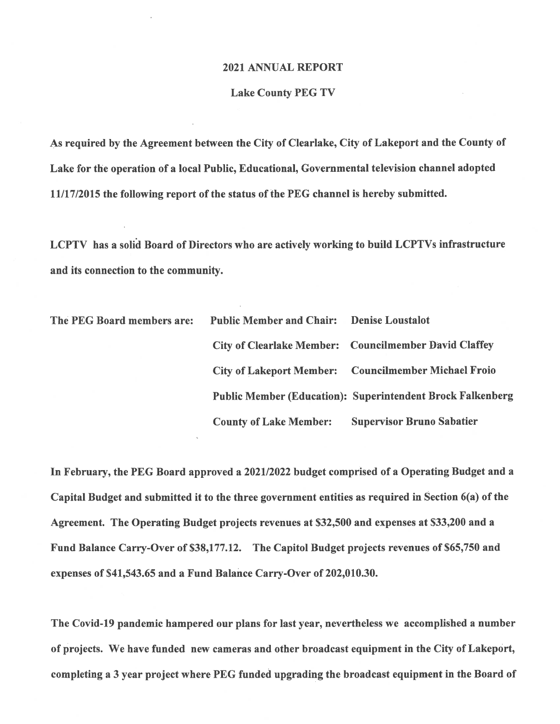#### 2021 ANNUAL REPORT

#### **Lake County PEG TV**

As required by the Agreement between the City of Clearlake, City of Lakeport and the County of Lake for the operation of a local Public, Educational, Governmental television channel adopted 11/17/2015 the following report of the status of the PEG channel is hereby submitted.

LCPTV has a solid Board of Directors who are actively working to build LCPTVs infrastructure and its connection to the community.

| The PEG Board members are: | <b>Public Member and Chair:</b> Denise Loustalot |                                                                   |
|----------------------------|--------------------------------------------------|-------------------------------------------------------------------|
|                            |                                                  | City of Clearlake Member: Councilmember David Claffey             |
|                            |                                                  | <b>City of Lakeport Member:</b> Councilmember Michael Froio       |
|                            |                                                  | <b>Public Member (Education): Superintendent Brock Falkenberg</b> |
|                            | <b>County of Lake Member:</b>                    | <b>Supervisor Bruno Sabatier</b>                                  |

In February, the PEG Board approved a 2021/2022 budget comprised of a Operating Budget and a Capital Budget and submitted it to the three government entities as required in Section 6(a) of the Agreement. The Operating Budget projects revenues at \$32,500 and expenses at \$33,200 and a Fund Balance Carry-Over of \$38,177.12. The Capitol Budget projects revenues of \$65,750 and expenses of \$41,543.65 and a Fund Balance Carry-Over of 202,010.30.

The Covid-19 pandemic hampered our plans for last year, nevertheless we accomplished a number of projects. We have funded new cameras and other broadcast equipment in the City of Lakeport, completing a 3 year project where PEG funded upgrading the broadcast equipment in the Board of